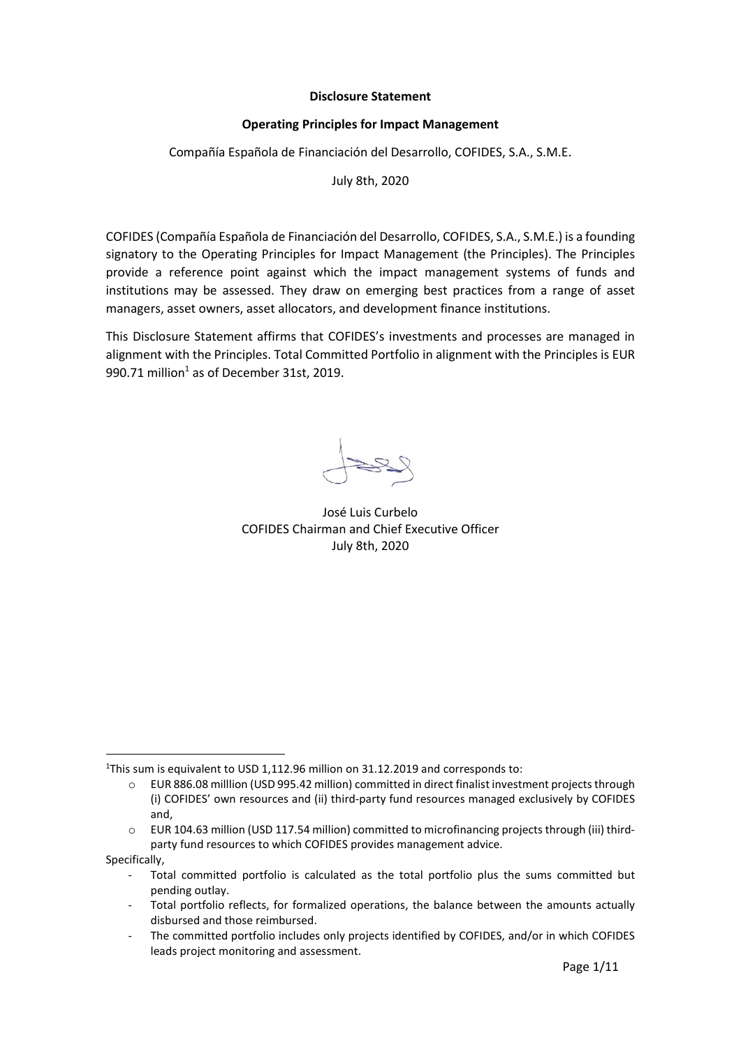## Disclosure Statement

## Operating Principles for Impact Management

Compañía Española de Financiación del Desarrollo, COFIDES, S.A., S.M.E.

July 8th, 2020

COFIDES (Compañía Española de Financiación del Desarrollo, COFIDES, S.A., S.M.E.) is a founding signatory to the Operating Principles for Impact Management (the Principles). The Principles provide a reference point against which the impact management systems of funds and institutions may be assessed. They draw on emerging best practices from a range of asset managers, asset owners, asset allocators, and development finance institutions.

This Disclosure Statement affirms that COFIDES's investments and processes are managed in alignment with the Principles. Total Committed Portfolio in alignment with the Principles is EUR 990.71 million $1$  as of December 31st, 2019.

José Luis Curbelo COFIDES Chairman and Chief Executive Officer July 8th, 2020

Specifically,

<sup>&</sup>lt;sup>1</sup>This sum is equivalent to USD 1,112.96 million on 31.12.2019 and corresponds to:

o EUR 886.08 milllion (USD 995.42 million) committed in direct finalist investment projects through (i) COFIDES' own resources and (ii) third-party fund resources managed exclusively by COFIDES and,

o EUR 104.63 million (USD 117.54 million) committed to microfinancing projects through (iii) thirdparty fund resources to which COFIDES provides management advice.

Total committed portfolio is calculated as the total portfolio plus the sums committed but pending outlay.

Total portfolio reflects, for formalized operations, the balance between the amounts actually disbursed and those reimbursed.

The committed portfolio includes only projects identified by COFIDES, and/or in which COFIDES leads project monitoring and assessment.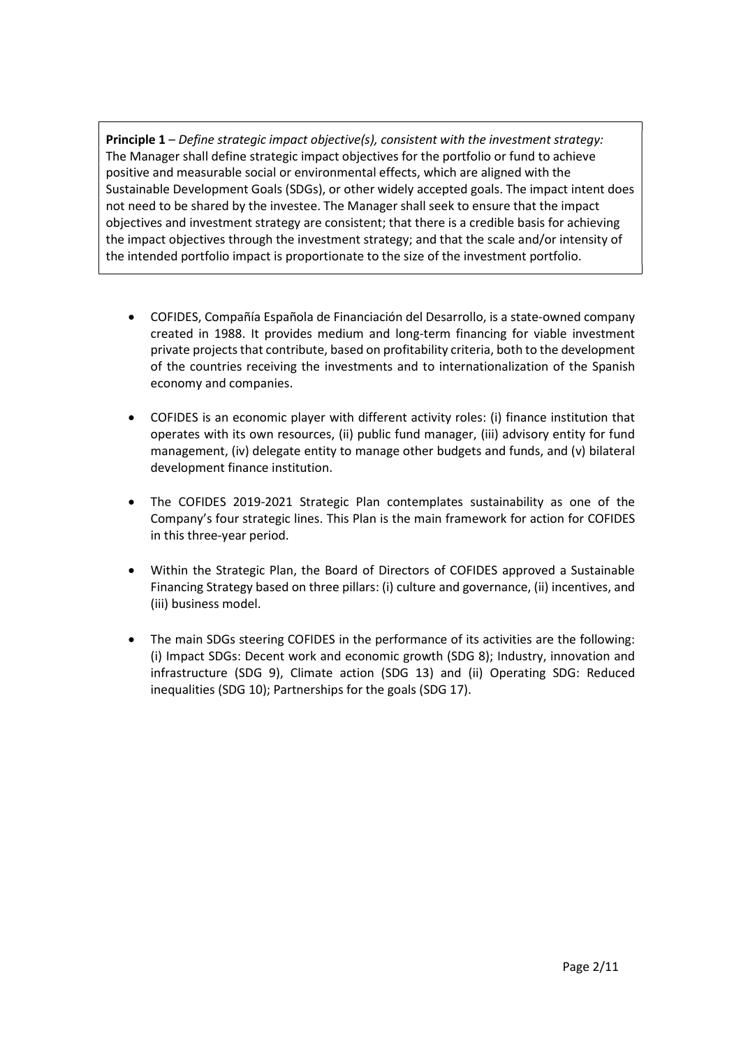**Principle 1** – Define strategic impact objective(s), consistent with the investment strategy: The Manager shall define strategic impact objectives for the portfolio or fund to achieve positive and measurable social or environmental effects, which are aligned with the Sustainable Development Goals (SDGs), or other widely accepted goals. The impact intent does not need to be shared by the investee. The Manager shall seek to ensure that the impact objectives and investment strategy are consistent; that there is a credible basis for achieving the impact objectives through the investment strategy; and that the scale and/or intensity of the intended portfolio impact is proportionate to the size of the investment portfolio.

- COFIDES, Compañía Española de Financiación del Desarrollo, is a state-owned company created in 1988. It provides medium and long-term financing for viable investment private projects that contribute, based on profitability criteria, both to the development of the countries receiving the investments and to internationalization of the Spanish economy and companies.
- COFIDES is an economic player with different activity roles: (i) finance institution that operates with its own resources, (ii) public fund manager, (iii) advisory entity for fund management, (iv) delegate entity to manage other budgets and funds, and (v) bilateral development finance institution.
- The COFIDES 2019-2021 Strategic Plan contemplates sustainability as one of the Company's four strategic lines. This Plan is the main framework for action for COFIDES in this three-year period.
- Within the Strategic Plan, the Board of Directors of COFIDES approved a Sustainable Financing Strategy based on three pillars: (i) culture and governance, (ii) incentives, and (iii) business model.
- The main SDGs steering COFIDES in the performance of its activities are the following: (i) Impact SDGs: Decent work and economic growth (SDG 8); Industry, innovation and infrastructure (SDG 9), Climate action (SDG 13) and (ii) Operating SDG: Reduced inequalities (SDG 10); Partnerships for the goals (SDG 17).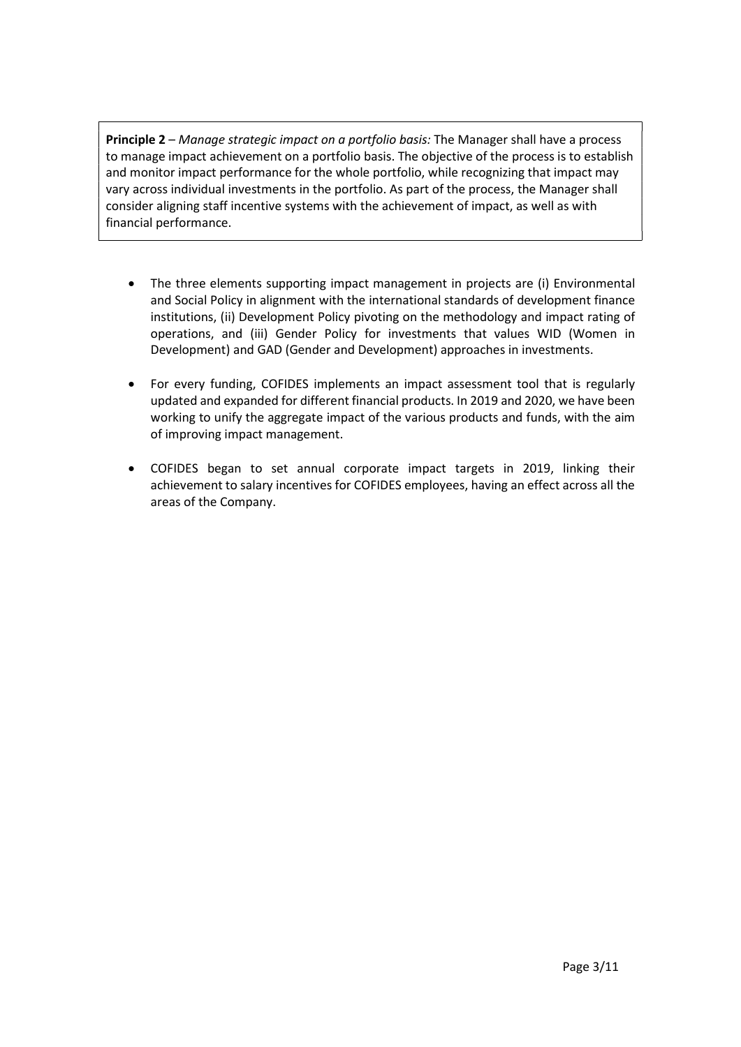Principle 2 – Manage strategic impact on a portfolio basis: The Manager shall have a process to manage impact achievement on a portfolio basis. The objective of the process is to establish and monitor impact performance for the whole portfolio, while recognizing that impact may vary across individual investments in the portfolio. As part of the process, the Manager shall consider aligning staff incentive systems with the achievement of impact, as well as with financial performance.

- The three elements supporting impact management in projects are (i) Environmental and Social Policy in alignment with the international standards of development finance institutions, (ii) Development Policy pivoting on the methodology and impact rating of operations, and (iii) Gender Policy for investments that values WID (Women in Development) and GAD (Gender and Development) approaches in investments.
- For every funding, COFIDES implements an impact assessment tool that is regularly updated and expanded for different financial products. In 2019 and 2020, we have been working to unify the aggregate impact of the various products and funds, with the aim of improving impact management.
- COFIDES began to set annual corporate impact targets in 2019, linking their achievement to salary incentives for COFIDES employees, having an effect across all the areas of the Company.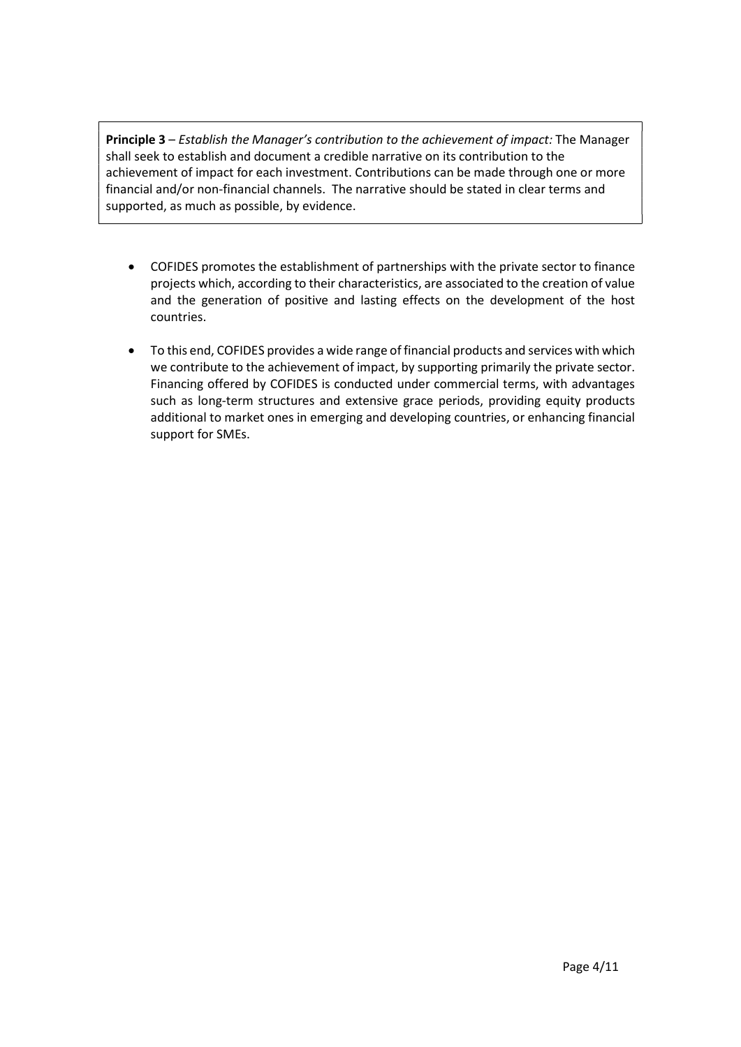Principle 3 – Establish the Manager's contribution to the achievement of impact: The Manager shall seek to establish and document a credible narrative on its contribution to the achievement of impact for each investment. Contributions can be made through one or more financial and/or non-financial channels. The narrative should be stated in clear terms and supported, as much as possible, by evidence.

- COFIDES promotes the establishment of partnerships with the private sector to finance projects which, according to their characteristics, are associated to the creation of value and the generation of positive and lasting effects on the development of the host countries.
- To this end, COFIDES provides a wide range of financial products and services with which we contribute to the achievement of impact, by supporting primarily the private sector. Financing offered by COFIDES is conducted under commercial terms, with advantages such as long-term structures and extensive grace periods, providing equity products additional to market ones in emerging and developing countries, or enhancing financial support for SMEs.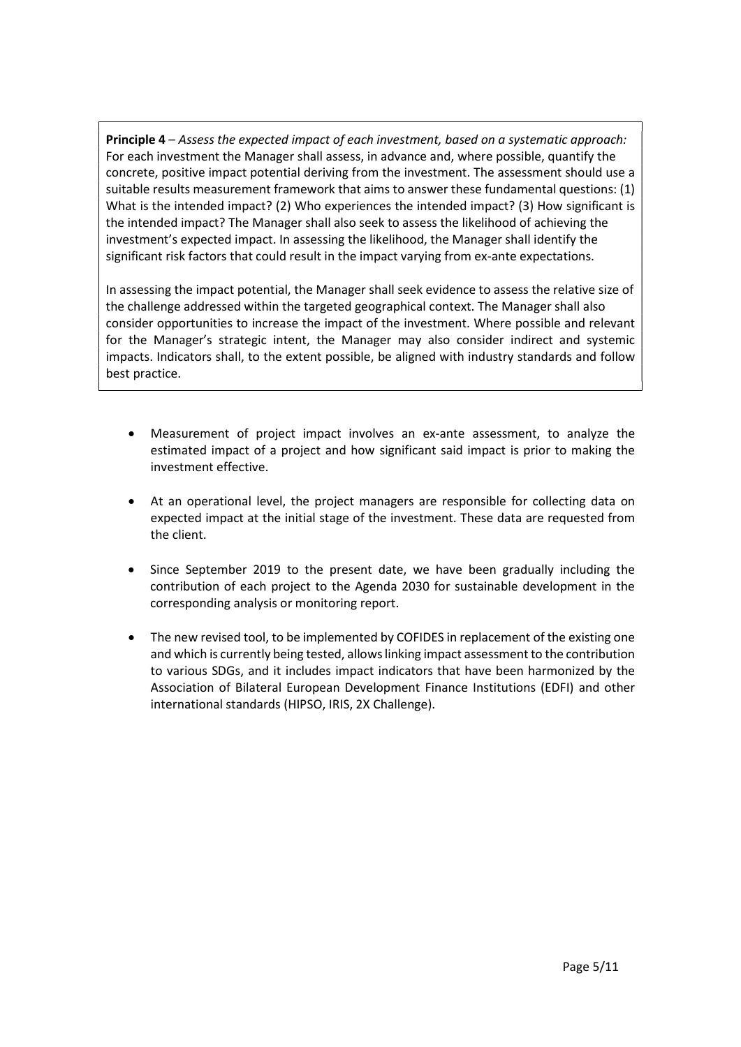Principle 4 – Assess the expected impact of each investment, based on a systematic approach: For each investment the Manager shall assess, in advance and, where possible, quantify the concrete, positive impact potential deriving from the investment. The assessment should use a suitable results measurement framework that aims to answer these fundamental questions: (1) What is the intended impact? (2) Who experiences the intended impact? (3) How significant is the intended impact? The Manager shall also seek to assess the likelihood of achieving the investment's expected impact. In assessing the likelihood, the Manager shall identify the significant risk factors that could result in the impact varying from ex-ante expectations.

In assessing the impact potential, the Manager shall seek evidence to assess the relative size of the challenge addressed within the targeted geographical context. The Manager shall also consider opportunities to increase the impact of the investment. Where possible and relevant for the Manager's strategic intent, the Manager may also consider indirect and systemic impacts. Indicators shall, to the extent possible, be aligned with industry standards and follow best practice.

- Measurement of project impact involves an ex-ante assessment, to analyze the estimated impact of a project and how significant said impact is prior to making the investment effective.
- At an operational level, the project managers are responsible for collecting data on expected impact at the initial stage of the investment. These data are requested from the client.
- Since September 2019 to the present date, we have been gradually including the contribution of each project to the Agenda 2030 for sustainable development in the corresponding analysis or monitoring report.
- The new revised tool, to be implemented by COFIDES in replacement of the existing one and which is currently being tested, allows linking impact assessment to the contribution to various SDGs, and it includes impact indicators that have been harmonized by the Association of Bilateral European Development Finance Institutions (EDFI) and other international standards (HIPSO, IRIS, 2X Challenge).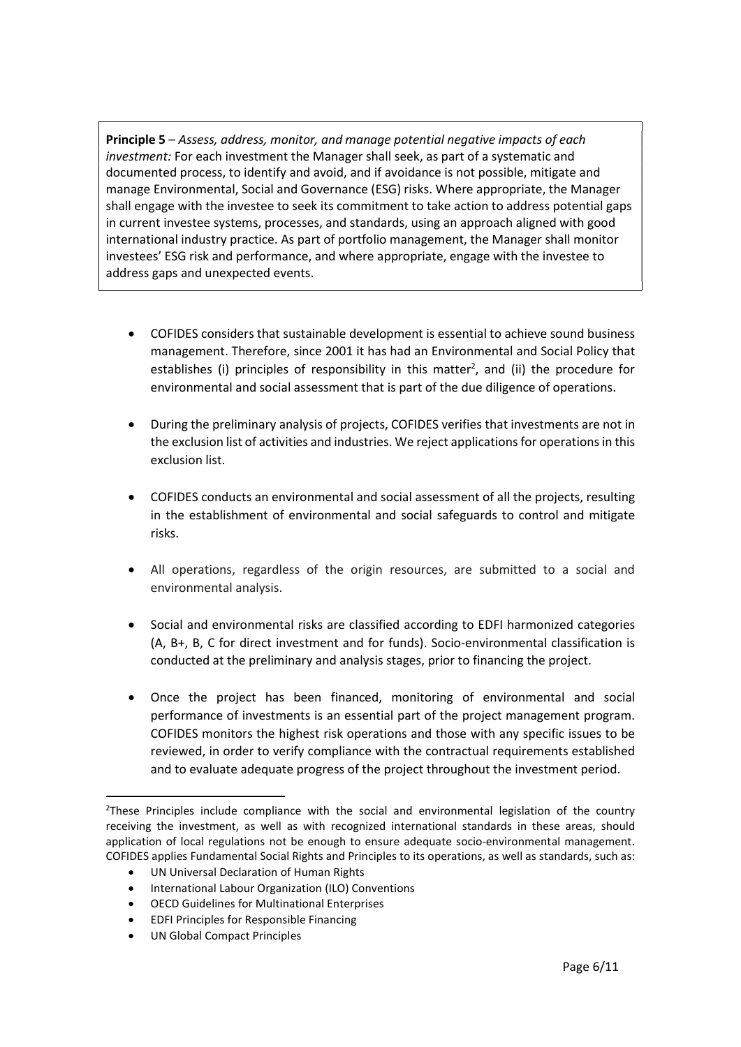Principle 5 – Assess, address, monitor, and manage potential negative impacts of each investment: For each investment the Manager shall seek, as part of a systematic and documented process, to identify and avoid, and if avoidance is not possible, mitigate and manage Environmental, Social and Governance (ESG) risks. Where appropriate, the Manager shall engage with the investee to seek its commitment to take action to address potential gaps in current investee systems, processes, and standards, using an approach aligned with good international industry practice. As part of portfolio management, the Manager shall monitor investees' ESG risk and performance, and where appropriate, engage with the investee to address gaps and unexpected events.

- COFIDES considers that sustainable development is essential to achieve sound business management. Therefore, since 2001 it has had an Environmental and Social Policy that establishes (i) principles of responsibility in this matter<sup>2</sup>, and (ii) the procedure for environmental and social assessment that is part of the due diligence of operations.
- During the preliminary analysis of projects, COFIDES verifies that investments are not in the exclusion list of activities and industries. We reject applications for operations in this exclusion list.
- COFIDES conducts an environmental and social assessment of all the projects, resulting in the establishment of environmental and social safeguards to control and mitigate risks.
- All operations, regardless of the origin resources, are submitted to a social and environmental analysis.
- Social and environmental risks are classified according to EDFI harmonized categories (A, B+, B, C for direct investment and for funds). Socio-environmental classification is conducted at the preliminary and analysis stages, prior to financing the project.
- Once the project has been financed, monitoring of environmental and social performance of investments is an essential part of the project management program. COFIDES monitors the highest risk operations and those with any specific issues to be reviewed, in order to verify compliance with the contractual requirements established and to evaluate adequate progress of the project throughout the investment period.

- UN Universal Declaration of Human Rights
- International Labour Organization (ILO) Conventions
- OECD Guidelines for Multinational Enterprises
- EDFI Principles for Responsible Financing
- UN Global Compact Principles

<sup>&</sup>lt;sup>2</sup>These Principles include compliance with the social and environmental legislation of the country receiving the investment, as well as with recognized international standards in these areas, should application of local regulations not be enough to ensure adequate socio-environmental management. COFIDES applies Fundamental Social Rights and Principles to its operations, as well as standards, such as: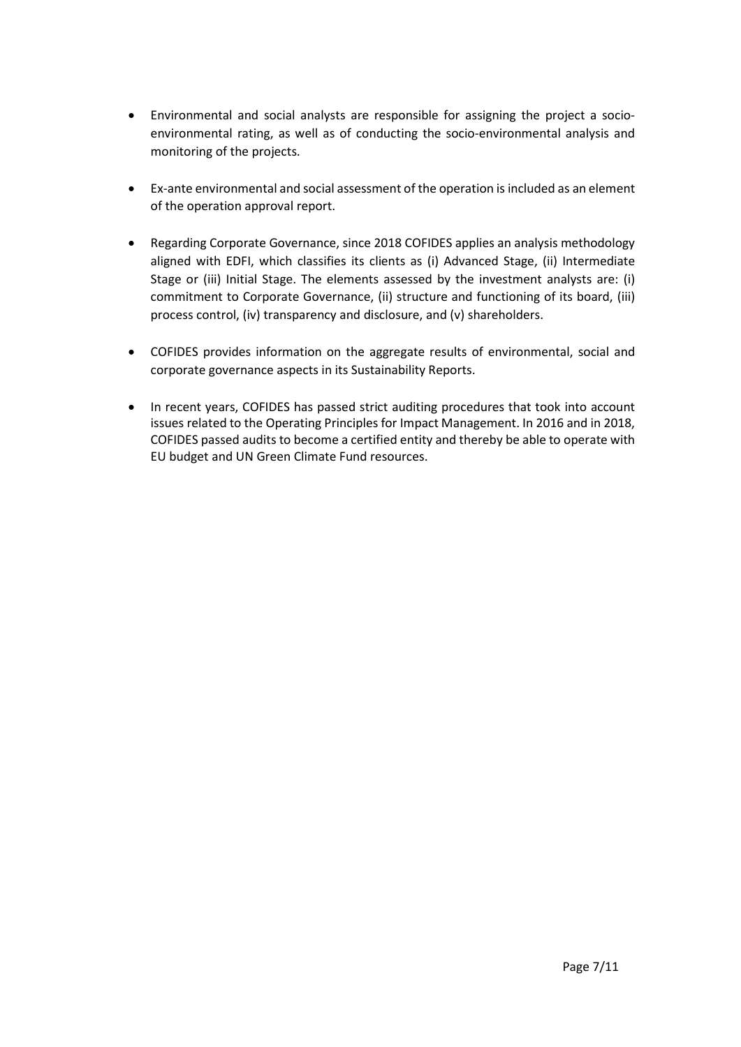- Environmental and social analysts are responsible for assigning the project a socioenvironmental rating, as well as of conducting the socio-environmental analysis and monitoring of the projects.
- Ex-ante environmental and social assessment of the operation is included as an element of the operation approval report.
- Regarding Corporate Governance, since 2018 COFIDES applies an analysis methodology aligned with EDFI, which classifies its clients as (i) Advanced Stage, (ii) Intermediate Stage or (iii) Initial Stage. The elements assessed by the investment analysts are: (i) commitment to Corporate Governance, (ii) structure and functioning of its board, (iii) process control, (iv) transparency and disclosure, and (v) shareholders.
- COFIDES provides information on the aggregate results of environmental, social and corporate governance aspects in its Sustainability Reports.
- In recent years, COFIDES has passed strict auditing procedures that took into account issues related to the Operating Principles for Impact Management. In 2016 and in 2018, COFIDES passed audits to become a certified entity and thereby be able to operate with EU budget and UN Green Climate Fund resources.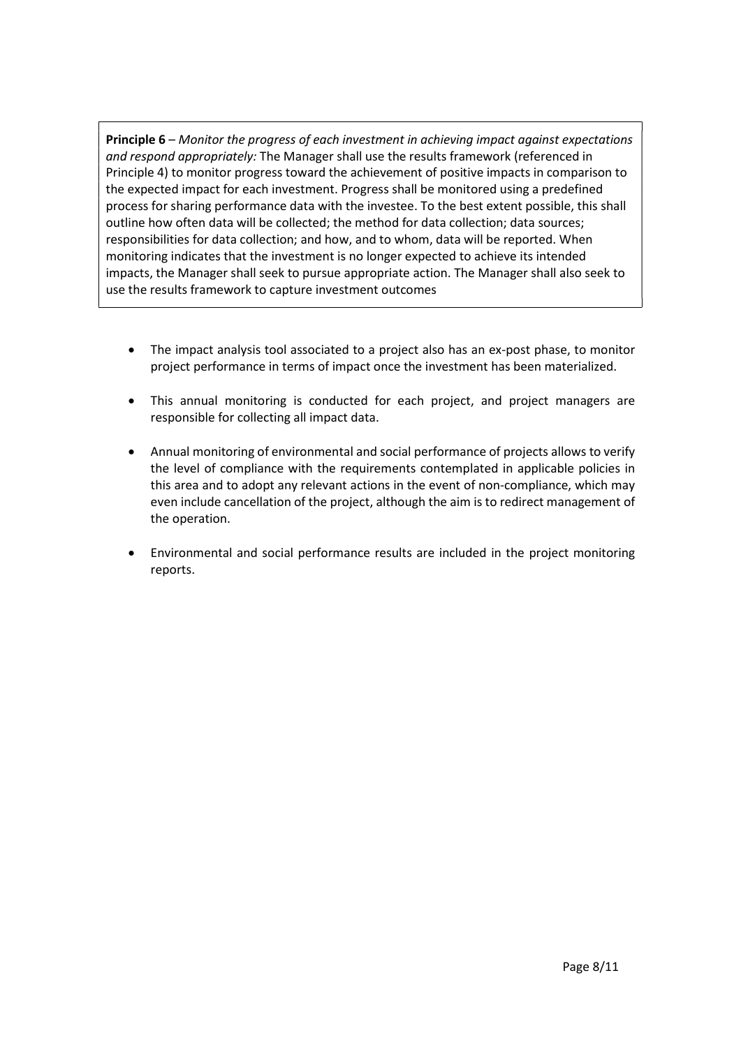Principle 6 – Monitor the progress of each investment in achieving impact against expectations and respond appropriately: The Manager shall use the results framework (referenced in Principle 4) to monitor progress toward the achievement of positive impacts in comparison to the expected impact for each investment. Progress shall be monitored using a predefined process for sharing performance data with the investee. To the best extent possible, this shall outline how often data will be collected; the method for data collection; data sources; responsibilities for data collection; and how, and to whom, data will be reported. When monitoring indicates that the investment is no longer expected to achieve its intended impacts, the Manager shall seek to pursue appropriate action. The Manager shall also seek to use the results framework to capture investment outcomes

- The impact analysis tool associated to a project also has an ex-post phase, to monitor project performance in terms of impact once the investment has been materialized.
- This annual monitoring is conducted for each project, and project managers are responsible for collecting all impact data.
- Annual monitoring of environmental and social performance of projects allows to verify the level of compliance with the requirements contemplated in applicable policies in this area and to adopt any relevant actions in the event of non-compliance, which may even include cancellation of the project, although the aim is to redirect management of the operation.
- Environmental and social performance results are included in the project monitoring reports.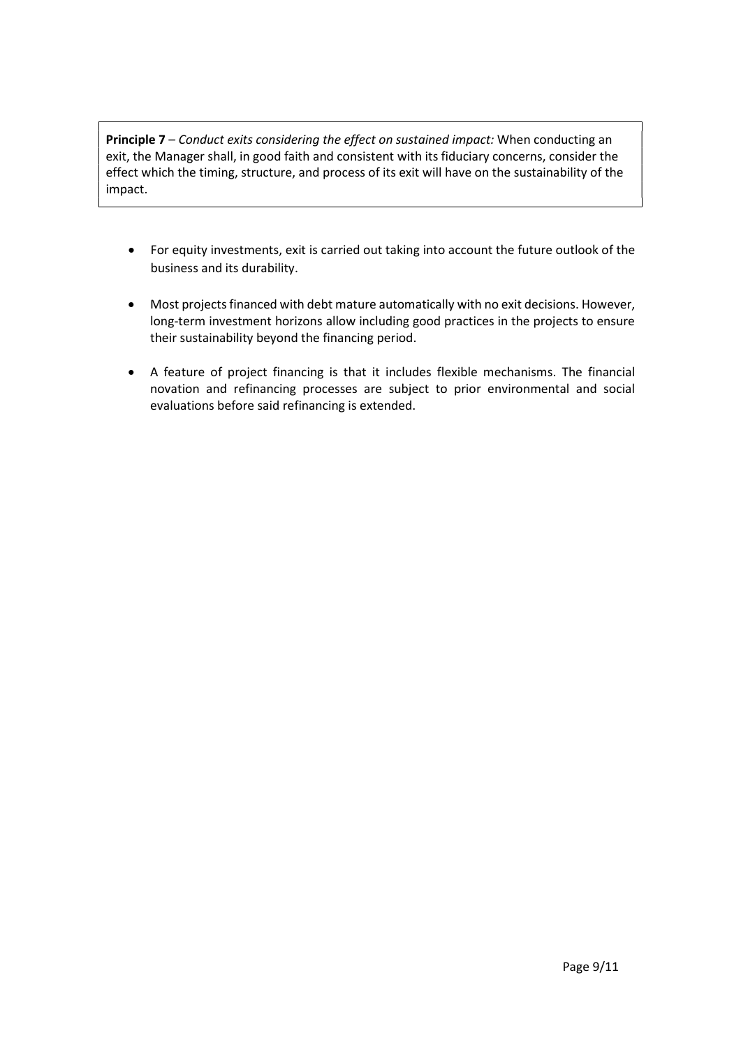Principle 7 – Conduct exits considering the effect on sustained impact: When conducting an exit, the Manager shall, in good faith and consistent with its fiduciary concerns, consider the effect which the timing, structure, and process of its exit will have on the sustainability of the impact.

- For equity investments, exit is carried out taking into account the future outlook of the business and its durability.
- Most projects financed with debt mature automatically with no exit decisions. However, long-term investment horizons allow including good practices in the projects to ensure their sustainability beyond the financing period.
- A feature of project financing is that it includes flexible mechanisms. The financial novation and refinancing processes are subject to prior environmental and social evaluations before said refinancing is extended.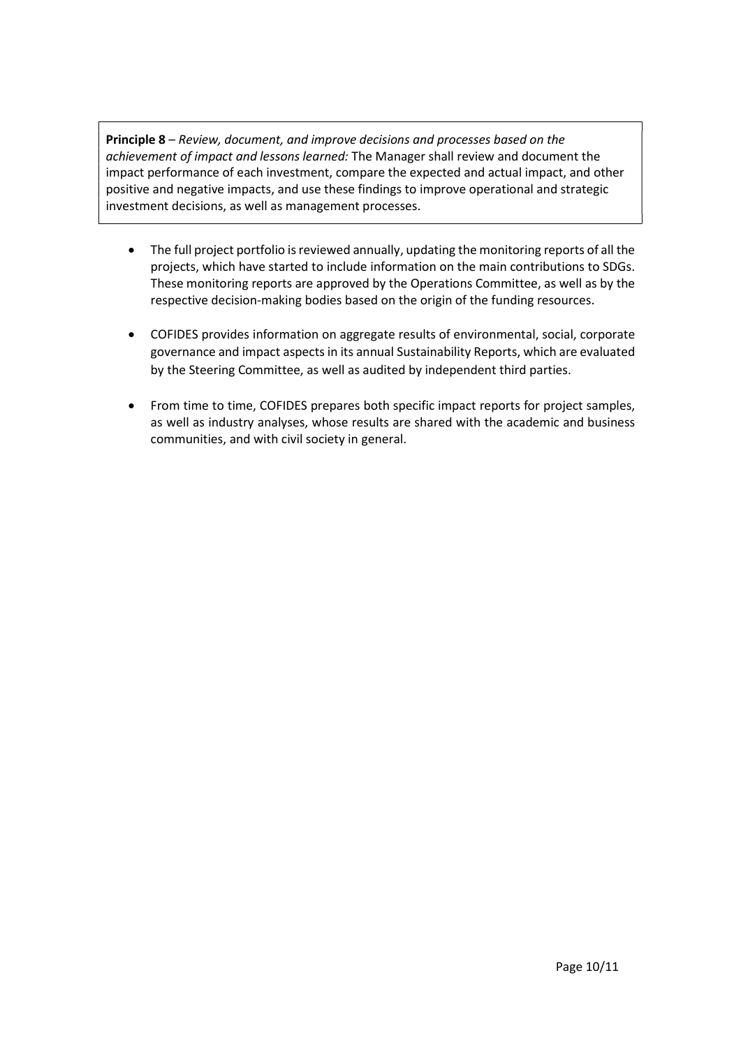Principle 8 – Review, document, and improve decisions and processes based on the achievement of impact and lessons learned: The Manager shall review and document the impact performance of each investment, compare the expected and actual impact, and other positive and negative impacts, and use these findings to improve operational and strategic investment decisions, as well as management processes.

- The full project portfolio is reviewed annually, updating the monitoring reports of all the projects, which have started to include information on the main contributions to SDGs. These monitoring reports are approved by the Operations Committee, as well as by the respective decision-making bodies based on the origin of the funding resources.
- COFIDES provides information on aggregate results of environmental, social, corporate governance and impact aspects in its annual Sustainability Reports, which are evaluated by the Steering Committee, as well as audited by independent third parties.
- From time to time, COFIDES prepares both specific impact reports for project samples, as well as industry analyses, whose results are shared with the academic and business communities, and with civil society in general.